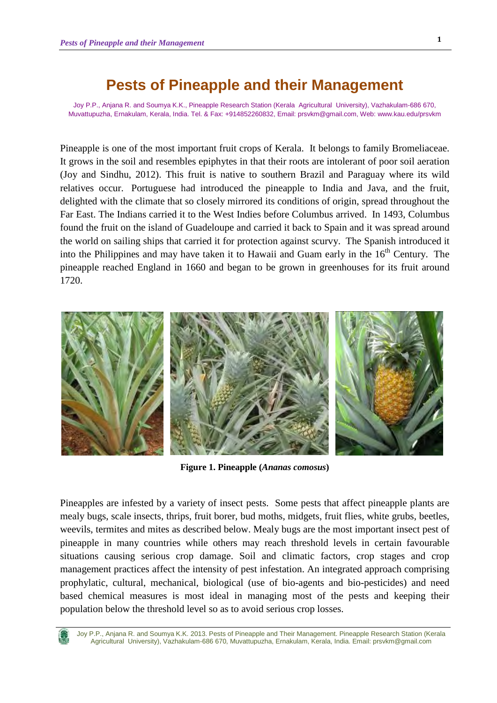# **Pests of Pineapple and their Management**

Joy P.P., Anjana R. and Soumya K.K., Pineapple Research Station (Kerala Agricultural University), Vazhakulam-686 670, Muvattupuzha, Ernakulam, Kerala, India. Tel. & Fax: +914852260832, Email: prsvkm@gmail.com, Web: www.kau.edu/prsvkm

Pineapple is one of the most important fruit crops of Kerala. It belongs to family Bromeliaceae. It grows in the soil and resembles epiphytes in that their roots are intolerant of poor soil aeration (Joy and Sindhu, 2012). This fruit is native to southern Brazil and Paraguay where its wild relatives occur. Portuguese had introduced the pineapple to India and Java, and the fruit, delighted with the climate that so closely mirrored its conditions of origin, spread throughout the Far East. The Indians carried it to the West Indies before Columbus arrived. In 1493, Columbus found the fruit on the island of Guadeloupe and carried it back to Spain and it was spread around the world on sailing ships that carried it for protection against scurvy. The Spanish introduced it into the Philippines and may have taken it to Hawaii and Guam early in the  $16<sup>th</sup>$  Century. The pineapple reached England in 1660 and began to be grown in greenhouses for its fruit around 1720.



**Figure 1. Pineapple (***Ananas comosus***)** 

Pineapples are infested by a variety of insect pests. Some pests that affect pineapple plants are mealy bugs, scale insects, thrips, fruit borer, bud moths, midgets, fruit flies, white grubs, beetles, weevils, termites and mites as described below. Mealy bugs are the most important insect pest of pineapple in many countries while others may reach threshold levels in certain favourable situations causing serious crop damage. Soil and climatic factors, crop stages and crop management practices affect the intensity of pest infestation. An integrated approach comprising prophylatic, cultural, mechanical, biological (use of bio-agents and bio-pesticides) and need based chemical measures is most ideal in managing most of the pests and keeping their population below the threshold level so as to avoid serious crop losses.

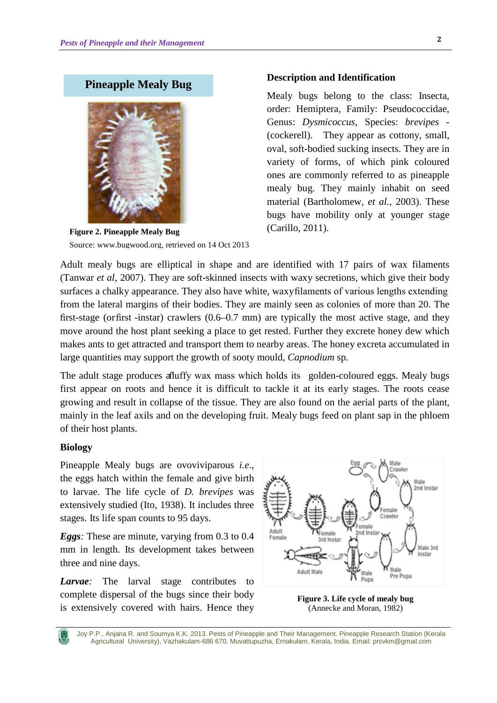# **Pineapple Mealy Bug**



**Figure 2. Pineapple Mealy Bug** Source: www.bugwood.org, retrieved on 14 Oct 2013

#### **Description and Identification**

Mealy bugs belong to the class: Insecta, order: Hemiptera, Family: Pseudococcidae, Genus: *Dysmicoccus,* Species: *brevipes* - (cockerell). They appear as cottony, small, oval, soft-bodied sucking insects. They are in variety of forms, of which pink coloured ones are commonly referred to as pineapple mealy bug. They mainly inhabit on seed material (Bartholomew, *et al.,* 2003). These bugs have mobility only at younger stage (Carillo, 2011).

Adult mealy bugs are elliptical in shape and are identified with 17 pairs of wax filaments (Tanwar *et al*, 2007). They are soft-skinned insects with waxy secretions, which give their body surfaces a chalky appearance. They also have white, waxy filaments of various lengths extending from the lateral margins of their bodies. They are mainly seen as colonies of more than 20. The first-stage (or first -instar) crawlers (0.6–0.7 mm) are typically the most active stage, and they move around the host plant seeking a place to get rested. Further they excrete honey dew which makes ants to get attracted and transport them to nearby areas. The honey excreta accumulated in large quantities may support the growth of sooty mould, *Capnodium* sp.

The adult stage produces a fluffy wax mass which holds its golden-coloured eggs. Mealy bugs first appear on roots and hence it is difficult to tackle it at its early stages. The roots cease growing and result in collapse of the tissue. They are also found on the aerial parts of the plant, mainly in the leaf axils and on the developing fruit. Mealy bugs feed on plant sap in the phloem of their host plants.

#### **Biology**

Pineapple Mealy bugs are ovoviviparous *i.e*., the eggs hatch within the female and give birth to larvae. The life cycle of *D. brevipes* was extensively studied (Ito, 1938). It includes three stages. Its life span counts to 95 days.

*Eggs:* These are minute, varying from 0.3 to 0.4 mm in length. Its development takes between three and nine days.

*Larvae*: The larval stage contributes complete dispersal of the bugs since their body is extensively covered with hairs. Hence they



**Figure 3. Life cycle of mealy bug** (Annecke and Moran, 1982)

Joy P.P., Anjana R. and Soumya K.K. 2013. Pests of Pineapple and Their Management. Pineapple Research Station (Kerala Agricultural University), Vazhakulam-686 670, Muvattupuzha, Ernakulam, Kerala, India. Email: prsvkm@gmail.com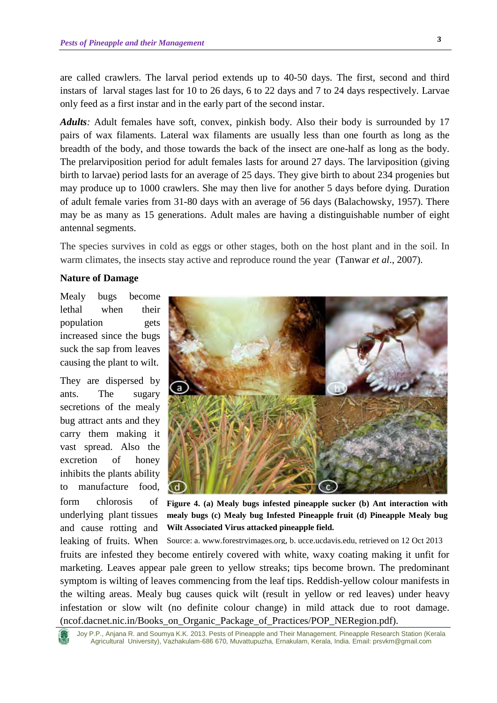are called crawlers. The larval period extends up to 40-50 days. The first, second and third instars of larval stages last for 10 to 26 days, 6 to 22 days and 7 to 24 days respectively. Larvae only feed as a first instar and in the early part of the second instar.

*Adults:* Adult females have soft, convex, pinkish body. Also their body is surrounded by 17 pairs of wax filaments. Lateral wax filaments are usually less than one fourth as long as the breadth of the body, and those towards the back of the insect are one-half as long as the body. The prelarviposition period for adult females lasts for around 27 days. The larviposition (giving birth to larvae) period lasts for an average of 25 days. They give birth to about 234 progenies but may produce up to 1000 crawlers. She may then live for another 5 days before dying. Duration of adult female varies from 31-80 days with an average of 56 days (Balachowsky, 1957). There may be as many as 15 generations. Adult males are having a distinguishable number of eight antennal segments.

The species survives in cold as eggs or other stages, both on the host plant and in the soil. In warm climates, the insects stay active and reproduce round the year (Tanwar *et al*., 2007).

#### **Nature of Damage**

Mealy bugs become lethal when their population gets increased since the bugs suck the sap from leaves causing the plant to wilt.

They are dispersed by ants. The sugary secretions of the mealy bug attract ants and they carry them making it vast spread. Also the excretion of honey inhibits the plants ability to manufacture food, form chlorosis of underlying plant tissues and cause rotting and leaking of fruits. When



**Figure 4. (a) Mealy bugs infested pineapple sucker (b) Ant interaction with mealy bugs (c) Mealy bug Infested Pineapple fruit (d) Pineapple Mealy bug Wilt Associated Virus attacked pineapple field.** 

Source: a. [www.forestryimages.org](http://www.forestryimages.org/), b. ucce.ucdavis.edu, retrieved on 12 Oct 2013

fruits are infested they become entirely covered with white, waxy coating making it unfit for marketing. Leaves appear pale green to yellow streaks; tips become brown. The predominant symptom is wilting of leaves commencing from the leaf tips. Reddish-yellow colour manifests in the wilting areas. Mealy bug causes quick wilt (result in yellow or red leaves) under heavy infestation or slow wilt (no definite colour change) in mild attack due to root damage. [\(ncof.dacnet.nic.in/Books\\_on\\_Organic\\_Package\\_of\\_Practices/POP\\_NERegion.pdf\)](http://ncof.dacnet.nic.in/Books_on_Organic_Package_of_Practices/POP_NERegion.pdf).

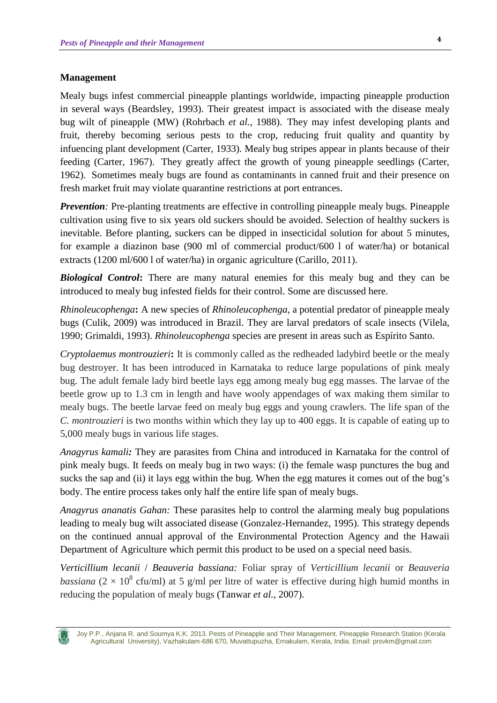### **Management**

Mealy bugs infest commercial pineapple plantings worldwide, impacting pineapple production in several ways (Beardsley, 1993). Their greatest impact is associated with the disease mealy bug wilt of pineapple (MW) (Rohrbach *et al.*, 1988). They may infest developing plants and fruit, thereby becoming serious pests to the crop, reducing fruit quality and quantity by infuencing plant development (Carter, 1933). Mealy bug stripes appear in plants because of their feeding (Carter, 1967). They greatly affect the growth of young pineapple seedlings (Carter, 1962). Sometimes mealy bugs are found as contaminants in canned fruit and their presence on fresh market fruit may violate quarantine restrictions at port entrances.

*Prevention*: Pre-planting treatments are effective in controlling pineapple mealy bugs. Pineapple cultivation using five to six years old suckers should be avoided. Selection of healthy suckers is inevitable. Before planting, suckers can be dipped in insecticidal solution for about 5 minutes, for example a diazinon base (900 ml of commercial product/600 l of water/ha) or botanical extracts (1200 ml/600 l of water/ha) in organic agriculture (Carillo, 2011).

**Biological Control:** There are many natural enemies for this mealy bug and they can be introduced to mealy bug infested fields for their control. Some are discussed here.

*Rhinoleucophenga***:** A new species of *Rhinoleucophenga*, a potential predator of pineapple mealy bugs (Culik, 2009) was introduced in Brazil. They are larval predators of scale insects (Vilela, 1990; Grimaldi, 1993). *Rhinoleucophenga* species are present in areas such as Espírito Santo.

*Cryptolaemus montrouzieri***:** It is commonly called as the redheaded ladybird beetle or the mealy bug destroyer. It has been introduced in Karnataka to reduce large populations of pink mealy bug. The adult female lady bird beetle lays egg among mealy bug egg masses. The larvae of the beetle grow up to 1.3 cm in length and have wooly appendages of wax making them similar to mealy bugs. The beetle larvae feed on mealy bug eggs and young crawlers. The life span of the *C. montrouzieri* is two months within which they lay up to 400 eggs. It is capable of eating up to 5,000 mealy bugs in various life stages.

*Anagyrus kamali:* They are parasites from China and introduced in Karnataka for the control of pink mealy bugs. It feeds on mealy bug in two ways: (i) the female wasp punctures the bug and sucks the sap and (ii) it lays egg within the bug. When the egg matures it comes out of the bug's body. The entire process takes only half the entire life span of mealy bugs.

*Anagyrus ananatis Gahan:* These parasites help to control the alarming mealy bug populations leading to mealy bug wilt associated disease (Gonzalez-Hernandez, 1995). This strategy depends on the continued annual approval of the Environmental Protection Agency and the Hawaii Department of Agriculture which permit this product to be used on a special need basis.

*Verticillium lecanii* / *Beauveria bassiana:* Foliar spray of *Verticillium lecanii* or *Beauveria bassiana* ( $2 \times 10^8$  cfu/ml) at 5 g/ml per litre of water is effective during high humid months in reducing the population of mealy bugs (Tanwar *et al.*, 2007).

Joy P.P., Anjana R. and Soumya K.K. 2013. Pests of Pineapple and Their Management. Pineapple Research Station (Kerala Agricultural University), Vazhakulam-686 670, Muvattupuzha, Ernakulam, Kerala, India. Email: prsvkm@gmail.com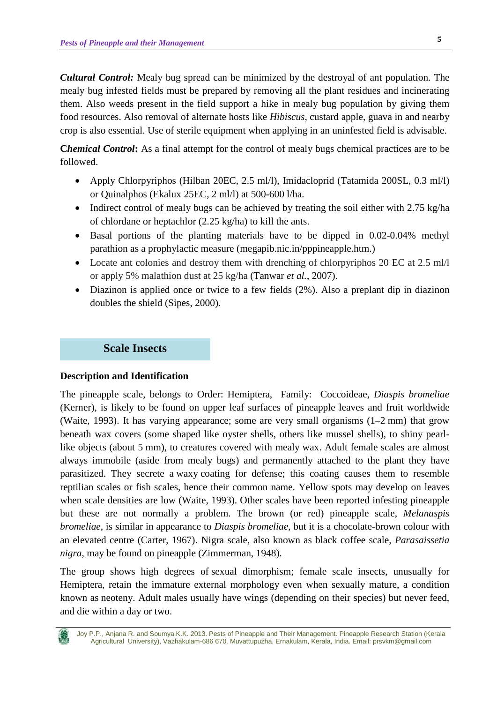*Cultural Control:* Mealy bug spread can be minimized by the destroyal of ant population. The mealy bug infested fields must be prepared by removing all the plant residues and incinerating them. Also weeds present in the field support a hike in mealy bug population by giving them food resources. Also removal of alternate hosts like *Hibiscus*, custard apple, guava in and nearby crop is also essential. Use of sterile equipment when applying in an uninfested field is advisable.

**Chemical Control**: As a final attempt for the control of mealy bugs chemical practices are to be followed.

- Apply Chlorpyriphos (Hilban 20EC, 2.5 ml/l), Imidacloprid (Tatamida 200SL, 0.3 ml/l) or Quinalphos (Ekalux 25EC, 2 ml/l) at 500-600 l/ha.
- Indirect control of mealy bugs can be achieved by treating the soil either with 2.75 kg/ha of chlordane or heptachlor (2.25 kg/ha) to kill the ants.
- Basal portions of the planting materials have to be dipped in 0.02-0.04% methyl parathion as a prophylactic measure (megapib.nic.in/pppineapple.htm.)
- Locate ant colonies and destroy them with drenching of chlorpyriphos 20 EC at 2.5 ml/l or apply 5% malathion dust at 25 kg/ha (Tanwar *et al.*, 2007).
- Diazinon is applied once or twice to a few fields (2%). Also a preplant dip in diazinon doubles the shield (Sipes, 2000).

# **Scale Insects**

### **Description and Identification**

The pineapple scale, belongs to Order: Hemiptera, Family: Coccoideae, *Diaspis bromeliae*  (Kerner), is likely to be found on upper leaf surfaces of pineapple leaves and fruit worldwide (Waite, 1993). It has varying appearance; some are very small organisms  $(1-2 \text{ mm})$  that grow beneath wax covers (some shaped like oyster shells, others like mussel shells), to shiny pearllike objects (about 5 mm), to creatures covered with mealy wax. Adult female scales are almost always immobile (aside from [mealy bugs\)](http://en.wikipedia.org/wiki/Mealybug) and permanently attached to the plant they have parasitized. They secrete a [waxy](http://en.wikipedia.org/wiki/Wax) coating for defense; this coating causes them to resemble reptilian scales or fish scales, hence their common name. Yellow spots may develop on leaves when scale densities are low (Waite, 1993). Other scales have been reported infesting pineapple but these are not normally a problem. The brown (or red) pineapple scale, *Melanaspis bromeliae*, is similar in appearance to *Diaspis bromeliae*, but it is a chocolate-brown colour with an elevated centre (Carter, 1967). Nigra scale, also known as black coffee scale, *Parasaissetia nigra*, may be found on pineapple (Zimmerman, 1948).

The group shows high degrees of [sexual dimorphism;](http://en.wikipedia.org/wiki/Sexual_dimorphism) female scale insects, unusually for Hemiptera, retain the immature external morphology even when sexually mature, a condition known as [neoteny.](http://en.wikipedia.org/wiki/Neoteny) Adult males usually have wings (depending on their species) but never feed, and die within a day or two.



Joy P.P., Anjana R. and Soumya K.K. 2013. Pests of Pineapple and Their Management. Pineapple Research Station (Kerala Agricultural University), Vazhakulam-686 670, Muvattupuzha, Ernakulam, Kerala, India. Email: prsvkm@gmail.com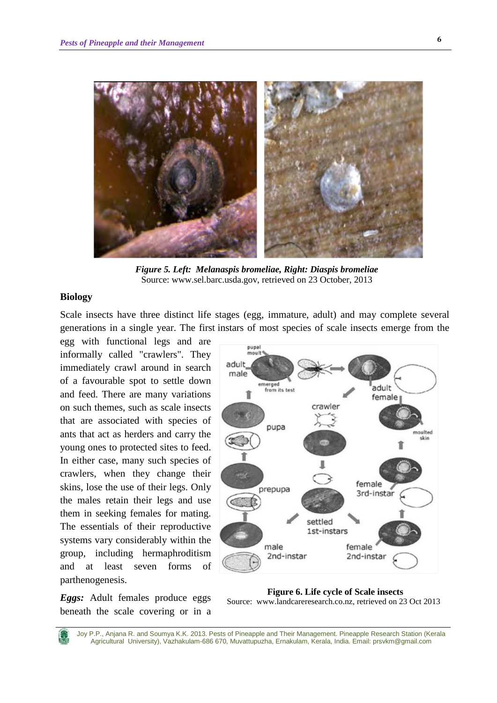

*Figure 5. Left: Melanaspis bromeliae, Right: Diaspis bromeliae* Source: www.sel.barc.usda.gov, retrieved on 23 October, 2013

### **Biology**

Scale insects have three distinct life stages (egg, immature, adult) and may complete several generations in a single year. The first instars of most species of scale insects emerge from the

egg with functional legs and are informally called "crawlers". They immediately crawl around in search of a favourable spot to settle down and feed. There are many variations on such themes, such as scale insects that are associated with species of ants that act as herders and carry the young ones to protected sites to feed. In either case, many such species of crawlers, when they change their skins, lose the use of their legs. Only the males retain their legs and use them in seeking females for mating. The essentials of their reproductive systems vary considerably within the group, including hermaphroditism and at least seven forms of parthenogenesis.

*Eggs:* Adult females produce eggs beneath the scale covering or in a



**Figure 6. Life cycle of Scale insects** Source: www.landcareresearch.co.nz, retrieved on 23 Oct 2013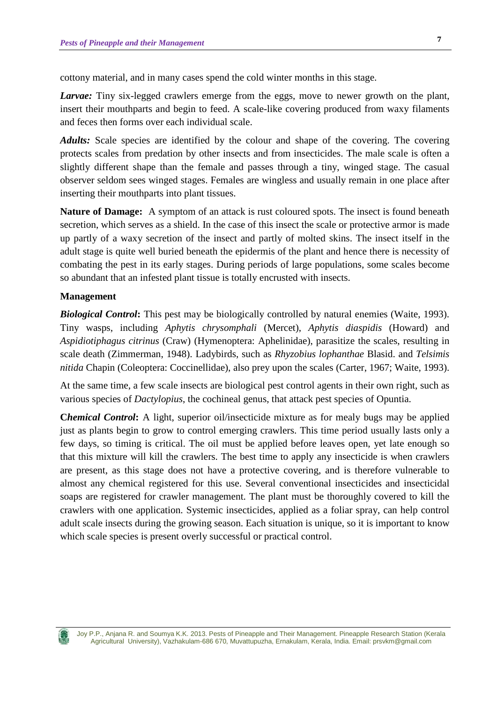cottony material, and in many cases spend the cold winter months in this stage.

*Larvae:* Tiny six-legged crawlers emerge from the eggs, move to newer growth on the plant, insert their mouthparts and begin to feed. A scale-like covering produced from waxy filaments and feces then forms over each individual scale.

*Adults:* Scale species are identified by the colour and shape of the covering. The covering protects scales from predation by other insects and from insecticides. The male scale is often a slightly different shape than the female and passes through a tiny, winged stage. The casual observer seldom sees winged stages. Females are wingless and usually remain in one place after inserting their mouthparts into plant tissues.

**Nature of Damage:** A symptom of an attack is rust coloured spots. The insect is found beneath secretion, which serves as a shield. In the case of this insect the scale or protective armor is made up partly of a waxy secretion of the insect and partly of molted skins. The insect itself in the adult stage is quite well buried beneath the epidermis of the plant and hence there is necessity of combating the pest in its early stages. During periods of large populations, some scales become so abundant that an infested plant tissue is totally encrusted with insects.

#### **Management**

*Biological Control***:** This pest may be biologically controlled by natural enemies (Waite, 1993). Tiny wasps, including *Aphytis chrysomphali* (Mercet), *Aphytis diaspidis* (Howard) and *Aspidiotiphagus citrinus* (Craw) (Hymenoptera: Aphelinidae), parasitize the scales, resulting in scale death (Zimmerman, 1948). Ladybirds, such as *Rhyzobius lophanthae* Blasid. and *Telsimis nitida* Chapin (Coleoptera: Coccinellidae), also prey upon the scales (Carter, 1967; Waite, 1993).

At the same time, a few scale insects are biological pest control agents in their own right, such as various species of *Dactylopius*, the cochineal genus, that attack pest species of Opuntia.

**Chemical Control**: A light, superior oil/insecticide mixture as for mealy bugs may be applied just as plants begin to grow to control emerging crawlers. This time period usually lasts only a few days, so timing is critical. The oil must be applied before leaves open, yet late enough so that this mixture will kill the crawlers. The best time to apply any insecticide is when crawlers are present, as this stage does not have a protective covering, and is therefore vulnerable to almost any chemical registered for this use. Several conventional insecticides and insecticidal soaps are registered for crawler management. The plant must be thoroughly covered to kill the crawlers with one application. Systemic insecticides, applied as a foliar spray, can help control adult scale insects during the growing season. Each situation is unique, so it is important to know which scale species is present overly successful or practical control.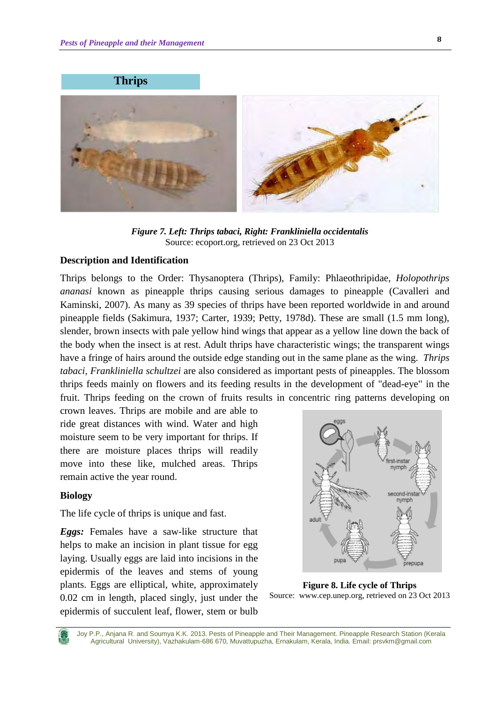



*Figure 7. Left: Thrips tabaci, Right: Frankliniella occidentalis* Source: ecoport.org, retrieved on 23 Oct 2013

#### **Description and Identification**

Thrips belongs to the Order: Thysanoptera (Thrips), Family: Phlaeothripidae, *Holopothrips ananasi* known as pineapple thrips causing serious damages to pineapple (Cavalleri and Kaminski, 2007). As many as 39 species of thrips have been reported worldwide in and around pineapple fields (Sakimura, 1937; Carter, 1939; Petty, 1978d). These are small (1.5 mm long), slender, brown insects with pale yellow hind wings that appear as a yellow line down the back of the body when the insect is at rest. Adult thrips have characteristic wings; the transparent wings have a fringe of hairs around the outside edge standing out in the same plane as the wing. *Thrips tabaci, Frankliniella schultzei* are also considered as important pests of pineapples. The blossom thrips feeds mainly on flowers and its feeding results in the development of "dead-eye" in the fruit. Thrips feeding on the crown of fruits results in concentric ring patterns developing on

crown leaves. Thrips are mobile and are able to ride great distances with wind. Water and high moisture seem to be very important for thrips. If there are moisture places thrips will readily move into these like, mulched areas. Thrips remain active the year round.

#### **Biology**

The life cycle of thrips is unique and fast.

*Eggs:* Females have a saw-like structure that helps to make an incision in plant tissue for egg laying. Usually eggs are laid into incisions in the epidermis of the leaves and stems of young plants. Eggs are elliptical, white, approximately 0.02 cm in length, placed singly, just under the epidermis of succulent leaf, flower, stem or bulb



**Figure 8. Life cycle of Thrips** Source: www.cep.unep.org, retrieved on 23 Oct 2013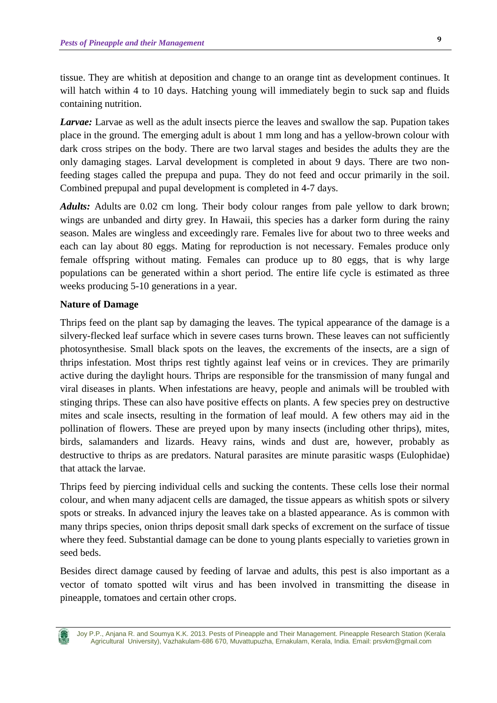tissue. They are whitish at deposition and change to an orange tint as development continues. It will hatch within 4 to 10 days. Hatching young will immediately begin to suck sap and fluids containing nutrition.

*Larvae:* Larvae as well as the adult insects pierce the leaves and swallow the sap. Pupation takes place in the ground. The emerging adult is about 1 mm long and has a yellow-brown colour with dark cross stripes on the body. There are two larval stages and besides the adults they are the only damaging stages. Larval development is completed in about 9 days. There are two nonfeeding stages called the prepupa and pupa. They do not feed and occur primarily in the soil. Combined prepupal and pupal development is completed in 4-7 days.

*Adults:* Adults are 0.02 cm long. Their body colour ranges from pale yellow to dark brown; wings are unbanded and dirty grey. In Hawaii, this species has a darker form during the rainy season. Males are wingless and exceedingly rare. Females live for about two to three weeks and each can lay about 80 eggs. Mating for reproduction is not necessary. Females produce only female offspring without mating. Females can produce up to 80 eggs, that is why large populations can be generated within a short period. The entire life cycle is estimated as three weeks producing 5-10 generations in a year.

### **Nature of Damage**

Thrips feed on the plant sap by damaging the leaves. The typical appearance of the damage is a silvery-flecked leaf surface which in severe cases turns brown. These leaves can not sufficiently photosynthesise. Small black spots on the leaves, the excrements of the insects, are a sign of thrips infestation. Most thrips rest tightly against leaf veins or in crevices. They are primarily active during the daylight hours. Thrips are responsible for the transmission of many fungal and viral diseases in plants. When infestations are heavy, people and animals will be troubled with stinging thrips. These can also have positive effects on plants. A few species prey on destructive mites and scale insects, resulting in the formation of leaf mould. A few others may aid in the pollination of flowers. These are preyed upon by many insects (including other thrips), mites, birds, salamanders and lizards. Heavy rains, winds and dust are, however, probably as destructive to thrips as are predators. Natural parasites are minute parasitic wasps (Eulophidae) that attack the larvae.

Thrips feed by piercing individual cells and sucking the contents. These cells lose their normal colour, and when many adjacent cells are damaged, the tissue appears as whitish spots or silvery spots or streaks. In advanced injury the leaves take on a blasted appearance. As is common with many thrips species, onion thrips deposit small dark specks of excrement on the surface of tissue where they feed. Substantial damage can be done to young plants especially to varieties grown in seed beds.

Besides direct damage caused by feeding of larvae and adults, this pest is also important as a vector of tomato spotted wilt virus and has been involved in transmitting the disease in pineapple, tomatoes and certain other crops.

Joy P.P., Anjana R. and Soumya K.K. 2013. Pests of Pineapple and Their Management. Pineapple Research Station (Kerala Agricultural University), Vazhakulam-686 670, Muvattupuzha, Ernakulam, Kerala, India. Email: prsvkm@gmail.com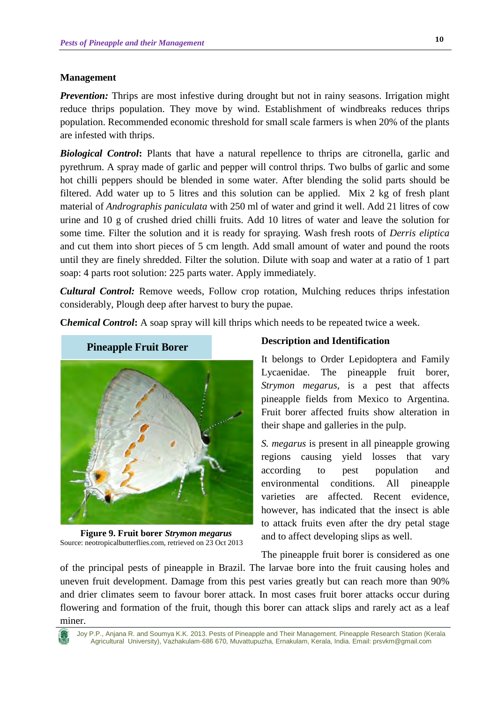### **Management**

*Prevention:* Thrips are most infestive during drought but not in rainy seasons. Irrigation might reduce thrips population. They move by wind. Establishment of windbreaks reduces thrips population. Recommended economic threshold for small scale farmers is when 20% of the plants are infested with thrips.

*Biological Control*: Plants that have a natural repellence to thrips are citronella, garlic and pyrethrum. A spray made of garlic and pepper will control thrips. Two bulbs of garlic and some hot chilli peppers should be blended in some water. After blending the solid parts should be filtered. Add water up to 5 litres and this solution can be applied. Mix 2 kg of fresh plant material of *Andrographis paniculata* with 250 ml of water and grind it well. Add 21 litres of cow urine and 10 g of crushed dried chilli fruits. Add 10 litres of water and leave the solution for some time. Filter the solution and it is ready for spraying. Wash fresh roots of *Derris eliptica* and cut them into short pieces of 5 cm length. Add small amount of water and pound the roots until they are finely shredded. Filter the solution. Dilute with soap and water at a ratio of 1 part soap: 4 parts root solution: 225 parts water. Apply immediately.

*Cultural Control:* Remove weeds, Follow crop rotation, Mulching reduces thrips infestation considerably, Plough deep after harvest to bury the pupae.

**Chemical Control:** A soap spray will kill thrips which needs to be repeated twice a week.



**Figure 9. Fruit borer** *Strymon megarus* Source: neotropicalbutterflies.com, retrieved on 23 Oct 2013

#### **Description and Identification**

It belongs to Order Lepidoptera and Family Lycaenidae. The pineapple fruit borer, *Strymon megarus,* is a pest that affects pineapple fields from Mexico to Argentina. Fruit borer affected fruits show alteration in their shape and galleries in the pulp.

*S. megarus* is present in all pineapple growing regions causing yield losses that vary according to pest population and environmental conditions. All pineapple varieties are affected. Recent evidence, however, has indicated that the insect is able to attack fruits even after the dry petal stage and to affect developing slips as well.

The pineapple fruit borer is considered as one

of the principal pests of pineapple in Brazil. The larvae bore into the fruit causing holes and uneven fruit development. Damage from this pest varies greatly but can reach more than 90% and drier climates seem to favour borer attack. In most cases fruit borer attacks occur during flowering and formation of the fruit, though this borer can attack slips and rarely act as a leaf miner.



Joy P.P., Anjana R. and Soumya K.K. 2013. Pests of Pineapple and Their Management. Pineapple Research Station (Kerala Agricultural University), Vazhakulam-686 670, Muvattupuzha, Ernakulam, Kerala, India. Email: prsvkm@gmail.com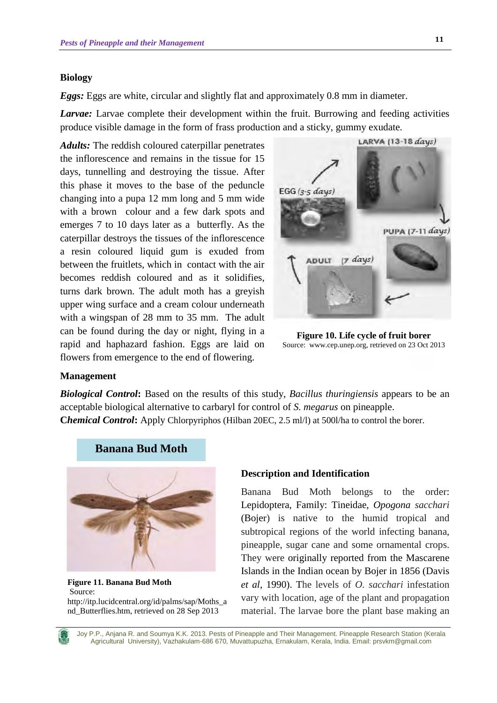#### **Biology**

*Eggs:* Eggs are white, circular and slightly flat and approximately 0.8 mm in diameter.

*Larvae:* Larvae complete their development within the fruit. Burrowing and feeding activities produce visible damage in the form of frass production and a sticky, gummy exudate.

*Adults:* The reddish coloured caterpillar penetrates the inflorescence and remains in the tissue for 15 days, tunnelling and destroying the tissue. After this phase it moves to the base of the peduncle changing into a pupa 12 mm long and 5 mm wide with a brown colour and a few dark spots and emerges 7 to 10 days later as a butterfly. As the caterpillar destroys the tissues of the inflorescence a resin coloured liquid gum is exuded from between the fruitlets, which in contact with the air becomes reddish coloured and as it solidifies, turns dark brown. The adult moth has a greyish upper wing surface and a cream colour underneath with a wingspan of 28 mm to 35 mm. The adult can be found during the day or night, flying in a rapid and haphazard fashion. Eggs are laid on flowers from emergence to the end of flowering.



**Figure 10. Life cycle of fruit borer** Source: [www.cep.unep.org,](http://www.cep.unep.org/) retrieved on 23 Oct 2013

#### **Management**

*Biological Control***:** Based on the results of this study, *Bacillus thuringiensis* appears to be an acceptable biological alternative to carbaryl for control of *S. megarus* on pineapple. **Chemical Control:** Apply Chlorpyriphos (Hilban 20EC, 2.5 ml/l) at 500l/ha to control the borer.



**Figure 11. Banana Bud Moth** Source: [http://itp.lucidcentral.org/id/palms/sap/Moths\\_a](http://itp.lucidcentral.org/id/palms/sap/Moths_and_Butterflies.htm) [nd\\_Butterflies.htm,](http://itp.lucidcentral.org/id/palms/sap/Moths_and_Butterflies.htm) retrieved on 28 Sep 2013

#### **Description and Identification**

Banana Bud Moth belongs to the order: Lepidoptera, Family: Tineidae, *Opogona sacchari* (Bojer) is native to the humid tropical and subtropical regions of the world infecting banana, pineapple, sugar cane and some ornamental crops. They were originally reported from the Mascarene Islands in the Indian ocean by Bojer in 1856 (Davis *et al*, 1990). The levels of *O. sacchari* infestation vary with location, age of the plant and propagation material. The larvae bore the plant base making an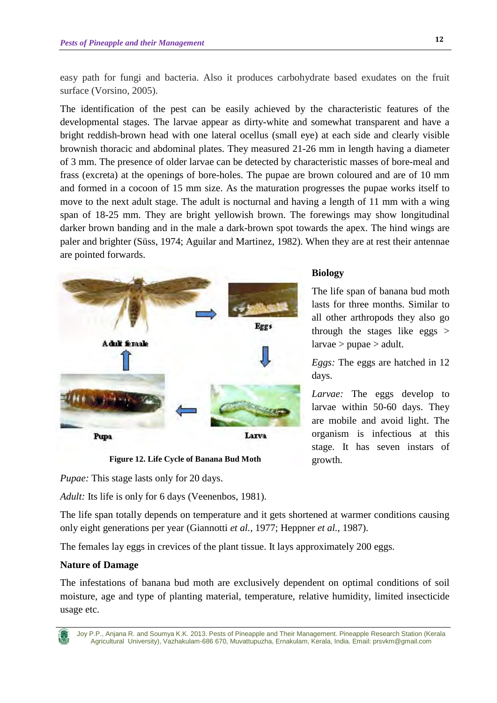easy path for fungi and bacteria. Also it produces carbohydrate based exudates on the fruit surface (Vorsino, 2005).

The identification of the pest can be easily achieved by the characteristic features of the developmental stages. The larvae appear as dirty-white and somewhat transparent and have a bright reddish-brown head with one lateral ocellus (small eye) at each side and clearly visible brownish thoracic and abdominal plates. They measured 21-26 mm in length having a diameter of 3 mm. The presence of older larvae can be detected by characteristic masses of bore-meal and frass (excreta) at the openings of bore-holes. The pupae are brown coloured and are of 10 mm and formed in a cocoon of 15 mm size. As the maturation progresses the pupae works itself to move to the next adult stage. The adult is nocturnal and having a length of 11 mm with a wing span of 18-25 mm. They are bright yellowish brown. The forewings may show longitudinal darker brown banding and in the male a dark-brown spot towards the apex. The hind wings are paler and brighter (Süss, 1974; Aguilar and Martinez, 1982). When they are at rest their antennae are pointed forwards.



**Figure 12. Life Cycle of Banana Bud Moth**

*Pupae:* This stage lasts only for 20 days.

*Adult:* Its life is only for 6 days (Veenenbos, 1981).

The life span totally depends on temperature and it gets shortened at warmer conditions causing only eight generations per year (Giannotti *et al.,* 1977; Heppner *et al.*, 1987).

The females lay eggs in crevices of the plant tissue. It lays approximately 200 eggs.

# **Nature of Damage**

The infestations of banana bud moth are exclusively dependent on optimal conditions of soil moisture, age and type of planting material, temperature, relative humidity, limited insecticide usage etc.

# **Biology**

The life span of banana bud moth lasts for three months. Similar to all other arthropods they also go through the stages like eggs > larvae > pupae > adult.

*Eggs:* The eggs are hatched in 12 days.

*Larvae:* The eggs develop to larvae within 50-60 days. They are mobile and avoid light. The organism is infectious at this stage. It has seven instars of growth.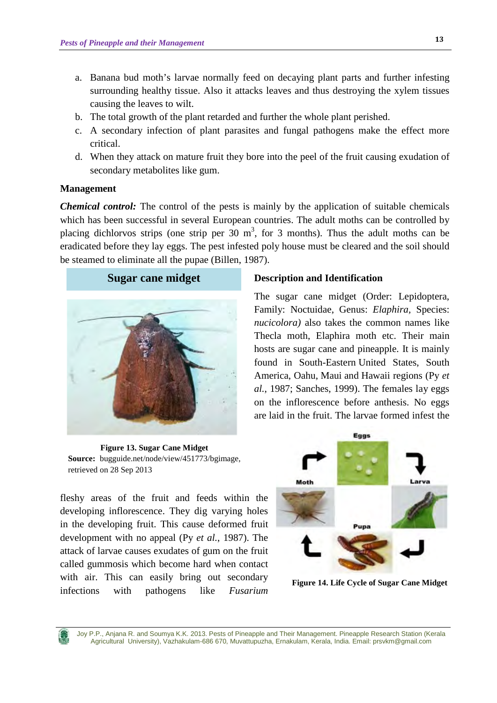- a. Banana bud moth's larvae normally feed on decaying plant parts and further infesting surrounding healthy tissue. Also it attacks leaves and thus destroying the xylem tissues causing the leaves to wilt.
- b. The total growth of the plant retarded and further the whole plant perished.
- c. A secondary infection of plant parasites and fungal pathogens make the effect more critical.
- d. When they attack on mature fruit they bore into the peel of the fruit causing exudation of secondary metabolites like gum.

### **Management**

*Chemical control:* The control of the pests is mainly by the application of suitable chemicals which has been successful in several European countries. The adult moths can be controlled by placing dichlorvos strips (one strip per 30  $m<sup>3</sup>$ , for 3 months). Thus the adult moths can be eradicated before they lay eggs. The pest infested poly house must be cleared and the soil should be steamed to eliminate all the pupae (Billen, 1987).





**Figure 13. Sugar Cane Midget Source:** [bugguide.net/node/view/451773/bgimage,](http://bugguide.net/node/view/451773/bgimage) retrieved on 28 Sep 2013

fleshy areas of the fruit and feeds within the developing inflorescence. They dig varying holes in the developing fruit. This cause deformed fruit development with no appeal (Py *et al.*, 1987). The attack of larvae causes exudates of gum on the fruit called gummosis which become hard when contact with air. This can easily bring out secondary infections with pathogens like *Fusarium* 

# **Description and Identification**

The sugar cane midget (Order: Lepidoptera, Family: Noctuidae, Genus: *Elaphira,* Species: *nucicolora)* also takes the common names like Thecla moth, Elaphira moth etc. Their main hosts are sugar cane and pineapple. It is mainly found in South-Eastern [United States,](http://en.wikipedia.org/wiki/United_States) [South](http://en.wikipedia.org/wiki/South_America)  [America,](http://en.wikipedia.org/wiki/South_America) [Oahu,](http://en.wikipedia.org/wiki/Oahu) [Maui](http://en.wikipedia.org/wiki/Maui) and [Hawaii](http://en.wikipedia.org/wiki/Hawaii_(island)) regions (Py *et al.*, 1987; Sanches, 1999). The females lay eggs on the inflorescence before anthesis. No eggs are laid in the fruit. The larvae formed infest the



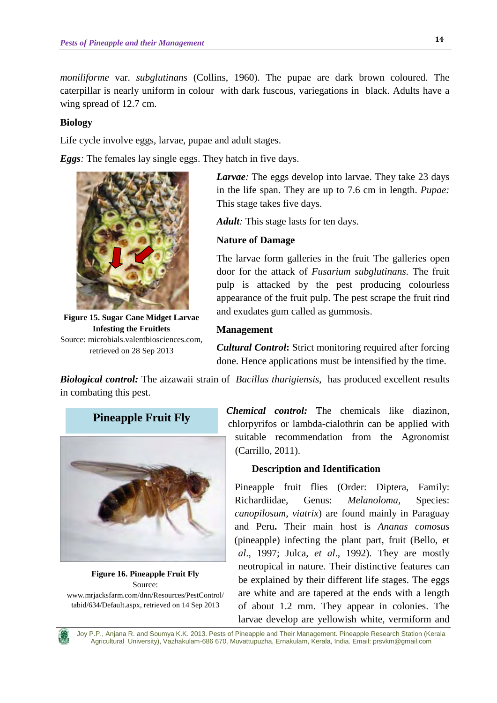*moniliforme* var. *subglutinans* (Collins, 1960). The pupae are dark brown coloured. The caterpillar is nearly uniform in colour with dark fuscous, variegations in black. Adults have a wing spread of 12.7 cm.

# **Biology**

Life cycle involve eggs, larvae, pupae and adult stages.

*Eggs:* The females lay single eggs. They hatch in five days.



**Figure 15. Sugar Cane Midget Larvae Infesting the Fruitlets**  Source: microbials.valentbiosciences.com, retrieved on 28 Sep 2013

*Larvae:* The eggs develop into larvae. They take 23 days in the life span. They are up to 7.6 cm in length. *Pupae:*  This stage takes five days.

*Adult:* This stage lasts for ten days.

# **Nature of Damage**

The larvae form galleries in the fruit The galleries open door for the attack of *Fusarium subglutinans*. The fruit pulp is attacked by the pest producing colourless appearance of the fruit pulp. The pest scrape the fruit rind and exudates gum called as gummosis.

# **Management**

*Cultural Control***:** Strict monitoring required after forcing done. Hence applications must be intensified by the time.

*Biological control:* The aizawaii strain of *Bacillus thurigiensis*, has produced excellent results in combating this pest.



**Figure 16. Pineapple Fruit Fly** Source: [www.mrjacksfarm.com/dnn/Resources/PestControl/](http://www.mrjacksfarm.com/dnn/Resources/PestControl/tabid/634/Default.aspx) [tabid/634/Default.aspx,](http://www.mrjacksfarm.com/dnn/Resources/PestControl/tabid/634/Default.aspx) retrieved on 14 Sep 2013

*Chemical control:* The chemicals like diazinon, chlorpyrifos or lambda-cialothrin can be applied with suitable recommendation from the Agronomist (Carrillo, 2011).

# **Description and Identification**

Pineapple fruit flies (Order: Diptera, Family: Richardiidae, Genus: *Melanoloma,* Species: *canopilosum, viatrix*) are found mainly in Paraguay and Peru**.** Their main host is *Ananas comosus*  (pineapple) infecting the plant part, fruit (Bello, et *al*., 1997; Julca, *et al*., 1992). They are mostly neotropical in nature. Their distinctive features can be explained by their different life stages. The eggs are white and are tapered at the ends with a length of about 1.2 mm. They appear in colonies. The larvae develop are yellowish white, vermiform and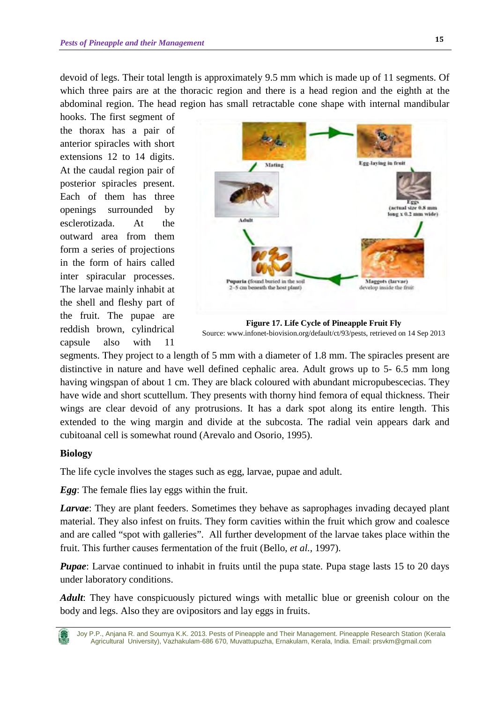devoid of legs. Their total length is approximately 9.5 mm which is made up of 11 segments. Of which three pairs are at the thoracic region and there is a head region and the eighth at the abdominal region. The head region has small retractable cone shape with internal mandibular

hooks. The first segment of the thorax has a pair of anterior spiracles with short extensions 12 to 14 digits. At the caudal region pair of posterior spiracles present. Each of them has three openings surrounded by esclerotizada. At the outward area from them form a series of projections in the form of hairs called inter spiracular processes. The larvae mainly inhabit at the shell and fleshy part of the fruit. The pupae are reddish brown, cylindrical capsule also with 11



**Figure 17. Life Cycle of Pineapple Fruit Fly** Source: [www.infonet-biovision.org/default/ct/93/pests,](http://www.infonet-biovision.org/default/ct/93/pests) retrieved on 14 Sep 2013

segments. They project to a length of 5 mm with a diameter of 1.8 mm. The spiracles present are distinctive in nature and have well defined cephalic area. Adult grows up to 5- 6.5 mm long having wingspan of about 1 cm. They are black coloured with abundant micropubescecias. They have wide and short scuttellum. They presents with thorny hind femora of equal thickness. Their wings are clear devoid of any protrusions. It has a dark spot along its entire length. This extended to the wing margin and divide at the subcosta. The radial vein appears dark and cubitoanal cell is somewhat round (Arevalo and Osorio, 1995).

# **Biology**

The life cycle involves the stages such as egg, larvae, pupae and adult.

*Egg*: The female flies lay eggs within the fruit.

*Larvae*: They are plant feeders. Sometimes they behave as saprophages invading decayed plant material. They also infest on fruits. They form cavities within the fruit which grow and coalesce and are called "spot with galleries". All further development of the larvae takes place within the fruit. This further causes fermentation of the fruit (Bello, *et al.,* 1997).

*Pupae*: Larvae continued to inhabit in fruits until the pupa state. Pupa stage lasts 15 to 20 days under laboratory conditions.

*Adult*: They have conspicuously pictured wings with metallic blue or greenish colour on the body and legs. Also they are ovipositors and lay eggs in fruits.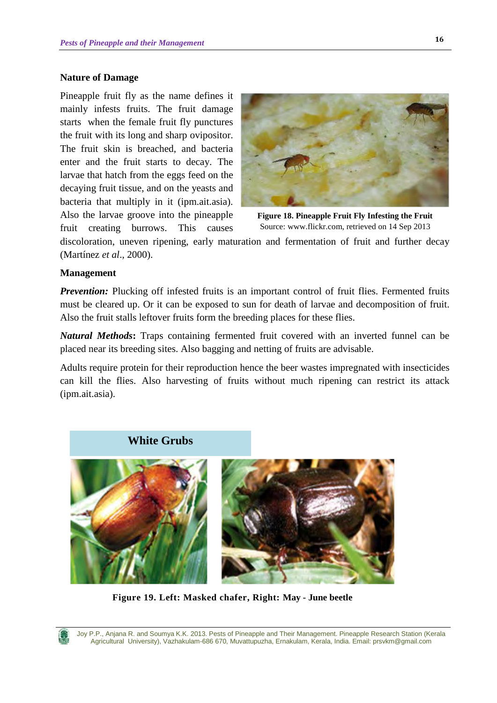### **Nature of Damage**

Pineapple fruit fly as the name defines it mainly infests fruits. The fruit damage starts when the female fruit fly punctures the fruit with its long and sharp ovipositor. The fruit skin is breached, and bacteria enter and the fruit starts to decay. The larvae that hatch from the eggs feed on the decaying fruit tissue, and on the yeasts and bacteria that multiply in it (ipm.ait.asia). Also the larvae groove into the pineapple fruit creating burrows. This causes



**Figure 18. Pineapple Fruit Fly Infesting the Fruit** Source[: www.flickr.com,](http://www.flickr.com/) retrieved on 14 Sep 2013

discoloration, uneven ripening, early maturation and fermentation of fruit and further decay (Martínez *et al*., 2000).

### **Management**

**Prevention:** Plucking off infested fruits is an important control of fruit flies. Fermented fruits must be cleared up. Or it can be exposed to sun for death of larvae and decomposition of fruit. Also the fruit stalls leftover fruits form the breeding places for these flies.

*Natural Methods***:** Traps containing fermented fruit covered with an inverted funnel can be placed near its breeding sites. Also bagging and netting of fruits are advisable.

Adults require protein for their reproduction hence the beer wastes impregnated with insecticides can kill the flies. Also harvesting of fruits without much ripening can restrict its attack (ipm.ait.asia).



**Figure 19. Left: Masked chafer, Right: May - June beetle**

Joy P.P., Anjana R. and Soumya K.K. 2013. Pests of Pineapple and Their Management. Pineapple Research Station (Kerala Agricultural University), Vazhakulam-686 670, Muvattupuzha, Ernakulam, Kerala, India. Email: prsvkm@gmail.com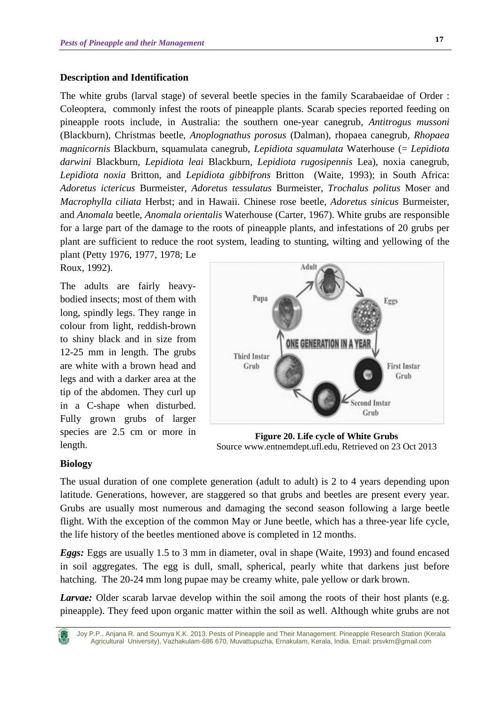#### **Description and Identification**

The white grubs (larval stage) of several beetle species in the family Scarabaeidae of Order : Coleoptera, commonly infest the roots of pineapple plants. Scarab species reported feeding on pineapple roots include, in Australia: the southern one-year canegrub, *Antitrogus mussoni*  (Blackburn), Christmas beetle, *Anoplognathus porosus* (Dalman), rhopaea canegrub*, Rhopaea magnicornis* Blackburn, squamulata canegrub, *Lepidiota squamulata* Waterhouse (= *Lepidiota darwini* Blackburn, *Lepidiota leai* Blackburn, *Lepidiota rugosipennis* Lea), noxia canegrub, *Lepidiota noxia* Britton, and *Lepidiota gibbifrons* Britton (Waite, 1993); in South Africa: *Adoretus ictericus* Burmeister, *Adoretus tessulatus* Burmeister, *Trochalus politus* Moser and *Macrophylla ciliata* Herbst; and in Hawaii. Chinese rose beetle, *Adoretus sinicus* Burmeister, and *Anomala* beetle, *Anomala orientalis* Waterhouse (Carter, 1967). White grubs are responsible for a large part of the damage to the roots of pineapple plants, and infestations of 20 grubs per plant are sufficient to reduce the root system, leading to stunting, wilting and yellowing of the

plant (Petty 1976, 1977, 1978; Le Roux, 1992).

The adults are fairly heavybodied insects; most of them with long, spindly legs. They range in colour from light, reddish-brown to shiny black and in size from 12-25 mm in length. The grubs are white with a brown head and legs and with a darker area at the tip of the abdomen. They curl up in a C-shape when disturbed. Fully grown grubs of larger species are 2.5 cm or more in length.



**Figure 20. Life cycle of White Grubs** Source www.entnemdept.ufl.edu, Retrieved on 23 Oct 2013

#### **Biology**

The usual duration of one complete generation (adult to adult) is 2 to 4 years depending upon latitude. Generations, however, are staggered so that grubs and beetles are present every year. Grubs are usually most numerous and damaging the second season following a large beetle flight. With the exception of the common May or June beetle, which has a three-year life cycle, the life history of the beetles mentioned above is completed in 12 months.

*Eggs:* Eggs are usually 1.5 to 3 mm in diameter, oval in shape (Waite, 1993) and found encased in soil aggregates. The egg is dull, small, spherical, pearly white that darkens just before hatching. The 20-24 mm long pupae may be creamy white, pale yellow or dark brown.

*Larvae:* Older scarab larvae develop within the soil among the roots of their host plants (e.g. pineapple). They feed upon organic matter within the soil as well. Although white grubs are not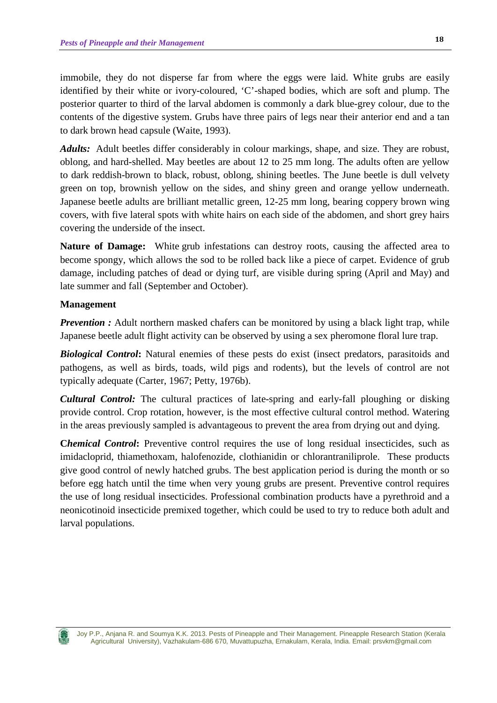immobile, they do not disperse far from where the eggs were laid. White grubs are easily identified by their white or ivory-coloured, 'C'-shaped bodies, which are soft and plump. The posterior quarter to third of the larval abdomen is commonly a dark blue-grey colour, due to the contents of the digestive system. Grubs have three pairs of legs near their anterior end and a tan to dark brown head capsule (Waite, 1993).

*Adults:* Adult beetles differ considerably in colour markings, shape, and size. They are robust, oblong, and hard-shelled. May beetles are about 12 to 25 mm long. The adults often are yellow to dark reddish-brown to black, robust, oblong, shining beetles. The June beetle is dull velvety green on top, brownish yellow on the sides, and shiny green and orange yellow underneath. Japanese beetle adults are brilliant metallic green, 12-25 mm long, bearing coppery brown wing covers, with five lateral spots with white hairs on each side of the abdomen, and short grey hairs covering the underside of the insect.

**Nature of Damage:** White grub infestations can destroy roots, causing the affected area to become spongy, which allows the sod to be rolled back like a piece of carpet. Evidence of grub damage, including patches of dead or dying turf, are visible during spring (April and May) and late summer and fall (September and October).

### **Management**

*Prevention :* Adult northern masked chafers can be monitored by using a black light trap, while Japanese beetle adult flight activity can be observed by using a sex pheromone floral lure trap.

*Biological Control***:** Natural enemies of these pests do exist (insect predators, parasitoids and pathogens, as well as birds, toads, wild pigs and rodents), but the levels of control are not typically adequate (Carter, 1967; Petty, 1976b).

*Cultural Control:* The cultural practices of late-spring and early-fall ploughing or disking provide control. Crop rotation, however, is the most effective cultural control method. Watering in the areas previously sampled is advantageous to prevent the area from drying out and dying.

**Chemical Control:** Preventive control requires the use of long residual insecticides, such as imidacloprid, thiamethoxam, halofenozide, clothianidin or chlorantraniliprole. These products give good control of newly hatched grubs. The best application period is during the month or so before egg hatch until the time when very young grubs are present. Preventive control requires the use of long residual insecticides. Professional combination products have a pyrethroid and a neonicotinoid insecticide premixed together, which could be used to try to reduce both adult and larval populations.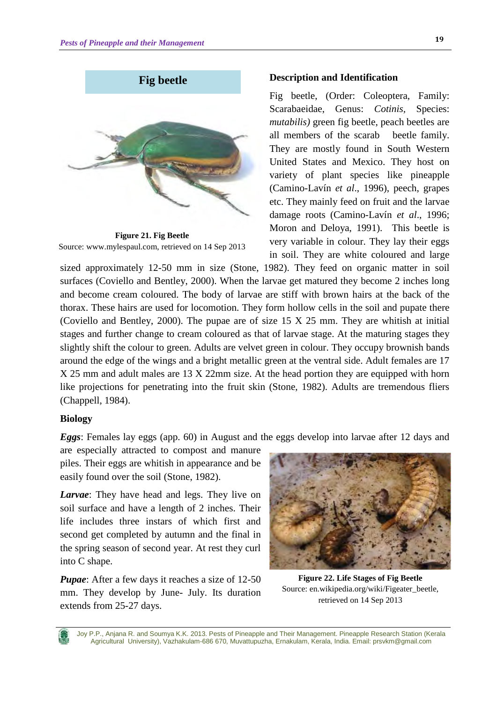

**Figure 21. Fig Beetle** Source: [www.mylespaul.com,](http://www.mylespaul.com/) retrieved on 14 Sep 2013

### **Description and Identification**

Fig beetle, (Order: Coleoptera, Family: Scarabaeidae, Genus: *Cotinis,* Species: *mutabilis)* green fig beetle, peach beetles are all members of the scarab beetle family. They are mostly found in South Western United States and Mexico. They host on variety of plant species like pineapple (Camino-Lavín *et al*., 1996), peech, grapes etc. They mainly feed on fruit and the larvae damage roots (Camino-Lavín *et al*., 1996; Moron and Deloya, 1991). This beetle is very variable in colour. They lay their eggs in soil. They are white coloured and large

sized approximately 12-50 mm in size (Stone, 1982). They feed on organic matter in soil surfaces (Coviello and Bentley, 2000). When the larvae get matured they become 2 inches long and become cream coloured. The body of larvae are stiff with brown hairs at the back of the thorax. These hairs are used for locomotion. They form hollow cells in the soil and pupate there (Coviello and Bentley, 2000). The pupae are of size 15 X 25 mm. They are whitish at initial stages and further change to cream coloured as that of larvae stage. At the maturing stages they slightly shift the colour to green. Adults are velvet green in colour. They occupy brownish bands around the edge of the wings and a bright metallic green at the ventral side. Adult females are 17 X 25 mm and adult males are 13 X 22mm size. At the head portion they are equipped with horn like projections for penetrating into the fruit skin (Stone, 1982). Adults are tremendous fliers (Chappell, 1984).

### **Biology**

*Eggs*: Females lay eggs (app. 60) in August and the eggs develop into larvae after 12 days and

are especially attracted to compost and manure piles. Their eggs are whitish in appearance and be easily found over the soil (Stone, 1982).

*Larvae*: They have head and legs. They live on soil surface and have a length of 2 inches. Their life includes three instars of which first and second get completed by autumn and the final in the spring season of second year. At rest they curl into C shape.

*Pupae*: After a few days it reaches a size of 12-50 mm. They develop by June- July. Its duration extends from 25-27 days.



**Figure 22. Life Stages of Fig Beetle** Source: [en.wikipedia.org/wiki/Figeater\\_beetle,](http://en.wikipedia.org/wiki/Figeater_beetle) retrieved on 14 Sep 2013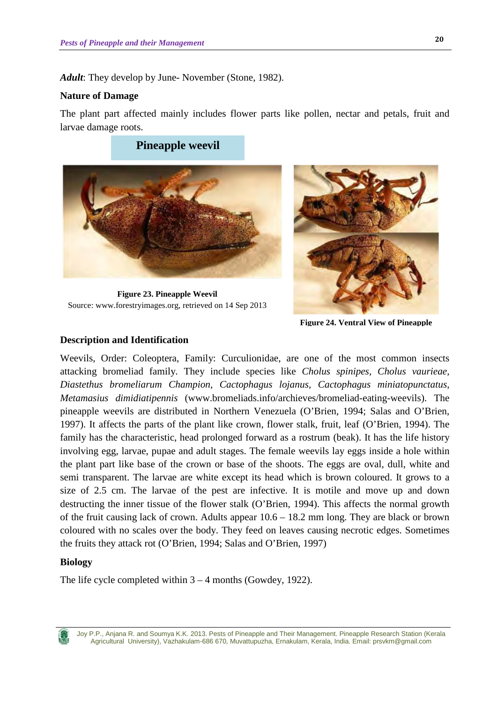*Adult*: They develop by June- November (Stone, 1982).

#### **Nature of Damage**

The plant part affected mainly includes flower parts like pollen, nectar and petals, fruit and larvae damage roots.

**Pineapple weevil**





**Figure 24. Ventral View of Pineapple** 

#### **Description and Identification**

Weevils, Order: Coleoptera, Family: Curculionidae, are one of the most common insects attacking bromeliad family. They include species like *Cholus spinipes, Cholus vaurieae, Diastethus bromeliarum Champion, Cactophagus lojanus, Cactophagus miniatopunctatus, Metamasius dimidiatipennis* [\(www.bromeliads.info/archieves/bromeliad-eating-weevils\)](http://www.bromeliads.info/archieves/bromeliad-eating-weevils). The pineapple weevils are distributed in Northern Venezuela (O'Brien, 1994; Salas and O'Brien, 1997). It affects the parts of the plant like crown, flower stalk, fruit, leaf (O'Brien, 1994). The family has the characteristic, head prolonged forward as a rostrum (beak). It has the life history involving egg, larvae, pupae and adult stages. The female weevils lay eggs inside a hole within the plant part like base of the crown or base of the shoots. The eggs are oval, dull, white and semi transparent. The larvae are white except its head which is brown coloured. It grows to a size of 2.5 cm. The larvae of the pest are infective. It is motile and move up and down destructing the inner tissue of the flower stalk (O'Brien, 1994). This affects the normal growth of the fruit causing lack of crown. Adults appear  $10.6 - 18.2$  mm long. They are black or brown coloured with no scales over the body. They feed on leaves causing necrotic edges. Sometimes the fruits they attack rot (O'Brien, 1994; Salas and O'Brien, 1997)

#### **Biology**

The life cycle completed within 3 – 4 months (Gowdey, 1922).

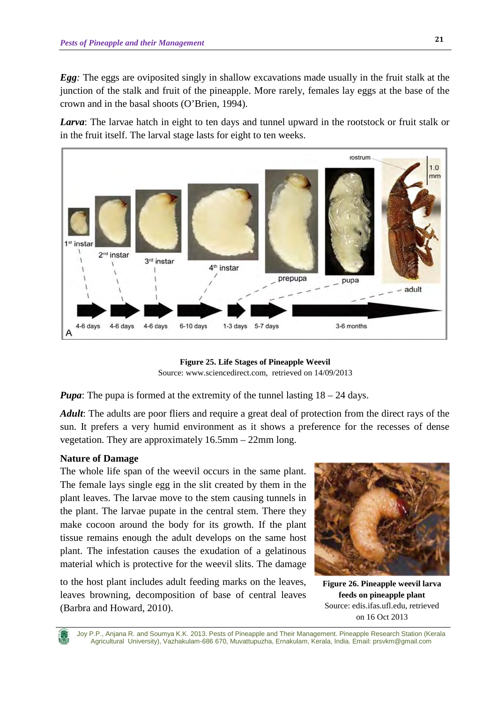*Egg:* The eggs are oviposited singly in shallow excavations made usually in the fruit stalk at the junction of the stalk and fruit of the pineapple. More rarely, females lay eggs at the base of the crown and in the basal shoots (O'Brien, 1994).

*Larva*: The larvae hatch in eight to ten days and tunnel upward in the rootstock or fruit stalk or in the fruit itself. The larval stage lasts for eight to ten weeks.



**Figure 25. Life Stages of Pineapple Weevil** Source: [www.sciencedirect.com,](http://www.sciencedirect.com/) retrieved on 14/09/2013

*Pupa*: The pupa is formed at the extremity of the tunnel lasting  $18 - 24$  days.

*Adult*: The adults are poor fliers and require a great deal of protection from the direct rays of the sun. It prefers a very humid environment as it shows a preference for the recesses of dense vegetation. They are approximately 16.5mm – 22mm long.

# **Nature of Damage**

The whole life span of the weevil occurs in the same plant. The female lays single egg in the slit created by them in the plant leaves. The larvae move to the stem causing tunnels in the plant. The larvae pupate in the central stem. There they make cocoon around the body for its growth. If the plant tissue remains enough the adult develops on the same host plant. The infestation causes the exudation of a gelatinous material which is protective for the weevil slits. The damage

to the host plant includes adult feeding marks on the leaves, leaves browning, decomposition of base of central leaves (Barbra and Howard, 2010).



**Figure 26. Pineapple weevil larva feeds on pineapple plant** Source: edis.ifas.ufl.edu, retrieved on 16 Oct 2013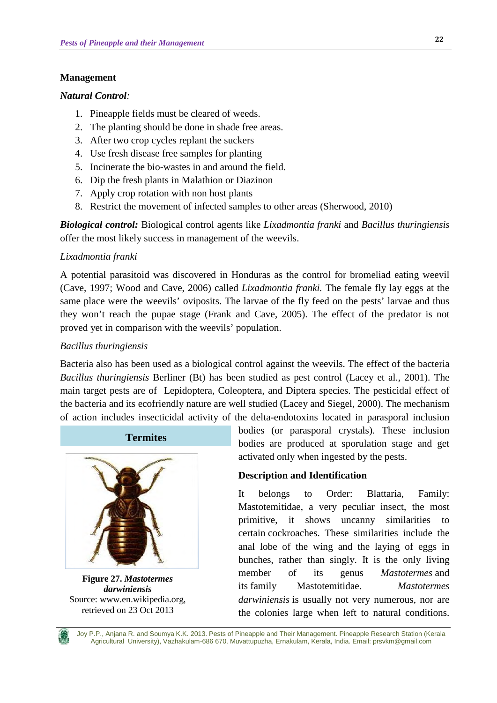### **Management**

#### *Natural Control:*

- 1. Pineapple fields must be cleared of weeds.
- 2. The planting should be done in shade free areas.
- 3. After two crop cycles replant the suckers
- 4. Use fresh disease free samples for planting
- 5. Incinerate the bio-wastes in and around the field.
- 6. Dip the fresh plants in Malathion or Diazinon
- 7. Apply crop rotation with non host plants
- 8. Restrict the movement of infected samples to other areas (Sherwood, 2010)

*Biological control:* Biological control agents like *Lixadmontia franki* and *Bacillus thuringiensis* offer the most likely success in management of the weevils.

### *Lixadmontia franki*

A potential parasitoid was discovered in Honduras as the control for bromeliad eating weevil (Cave, 1997; Wood and Cave, 2006) called *Lixadmontia franki.* The female fly lay eggs at the same place were the weevils' oviposits. The larvae of the fly feed on the pests' larvae and thus they won't reach the pupae stage (Frank and Cave, 2005). The effect of the predator is not proved yet in comparison with the weevils' population.

### *Bacillus thuringiensis*

Bacteria also has been used as a biological control against the weevils. The effect of the bacteria *Bacillus thuringiensis* Berliner (Bt) has been studied as pest control (Lacey et al., 2001). The main target pests are of Lepidoptera, Coleoptera, and Diptera species. The pesticidal effect of the bacteria and its ecofriendly nature are well studied (Lacey and Siegel, 2000). The mechanism of action includes insecticidal activity of the delta-endotoxins located in parasporal inclusion



**Figure 27.** *Mastotermes darwiniensis* Source: www.en.wikipedia.org, retrieved on 23 Oct 2013

bodies (or parasporal crystals). These inclusion bodies are produced at sporulation stage and get activated only when ingested by the pests.

## **Description and Identification**

It belongs to Order: Blattaria, Family: Mastotemitidae, a very peculiar insect, the most primitive, it shows uncanny similarities to certain cockroaches. These similarities include the anal lobe of the wing and the laying of eggs in bunches, rather than singly. It is the only living member of its genus *Mastotermes* and its family Mastotemitidae. *Mastotermes darwiniensis* is usually not very numerous, nor are the colonies large when left to natural conditions.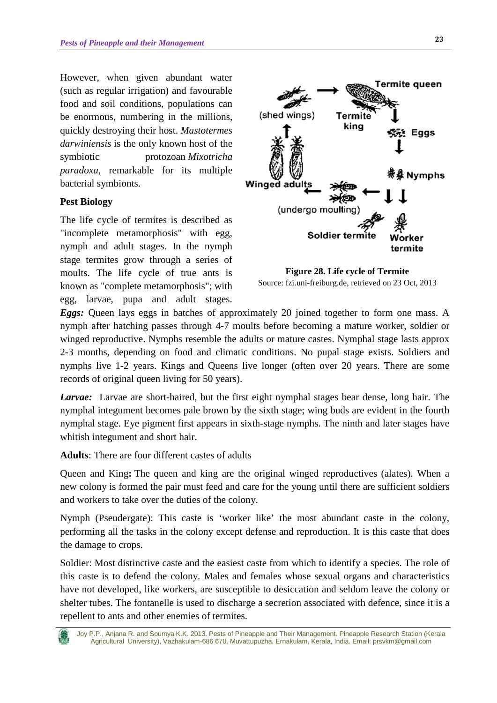However, when given abundant water (such as regular irrigation) and favourable food and soil conditions, populations can be enormous, numbering in the millions, quickly destroying their host. *Mastotermes darwiniensis* is the only known host of the symbiotic protozoan *Mixotricha paradoxa*, remarkable for its multiple bacterial symbionts.

# **Pest Biology**

The life cycle of termites is described as "incomplete metamorphosis" with egg, nymph and adult stages. In the nymph stage termites grow through a series of moults. The life cycle of true ants is known as "complete metamorphosis"; with egg, larvae, pupa and adult stages.



**Figure 28. Life cycle of Termite** Source: fzi.uni-freiburg.de, retrieved on 23 Oct, 2013

*Eggs:* Queen lays eggs in batches of approximately 20 joined together to form one mass. A nymph after hatching passes through 4-7 moults before becoming a mature worker, soldier or winged reproductive. Nymphs resemble the adults or mature castes. Nymphal stage lasts approx 2-3 months, depending on food and climatic conditions. No pupal stage exists. Soldiers and nymphs live 1-2 years. Kings and Queens live longer (often over 20 years. There are some records of original queen living for 50 years).

*Larvae:* Larvae are short-haired, but the first eight nymphal stages bear dense, long hair. The nymphal integument becomes pale brown by the sixth stage; wing buds are evident in the fourth nymphal stage. Eye pigment first appears in sixth-stage nymphs. The ninth and later stages have whitish integument and short hair.

**Adults**: There are four different castes of adults

Queen and King**:** The queen and king are the original winged reproductives (alates). When a new colony is formed the pair must feed and care for the young until there are sufficient soldiers and workers to take over the duties of the colony.

Nymph (Pseudergate): This caste is 'worker like' the most abundant caste in the colony, performing all the tasks in the colony except defense and reproduction. It is this caste that does the damage to crops.

Soldier: Most distinctive caste and the easiest caste from which to identify a species. The role of this caste is to defend the colony. Males and females whose sexual organs and characteristics have not developed, like workers, are susceptible to desiccation and seldom leave the colony or shelter tubes. The fontanelle is used to discharge a secretion associated with defence, since it is a repellent to ants and other enemies of termites.

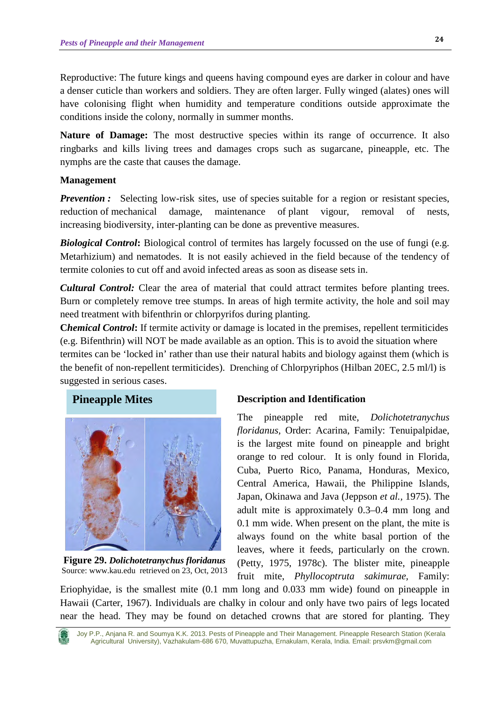Reproductive: The future kings and queens having compound eyes are darker in colour and have a denser cuticle than workers and soldiers. They are often larger. Fully winged (alates) ones will have colonising flight when humidity and temperature conditions outside approximate the conditions inside the colony, normally in summer months.

**Nature of Damage:** The most destructive species within its range of occurrence. It also ringbarks and kills living trees and damages crops such as sugarcane, pineapple, etc. The nymphs are the caste that causes the damage.

# **Management**

*Prevention :* Selecting low-risk sites, use of species suitable for a region or resistant species, reduction of mechanical damage, maintenance of plant vigour, removal of nests, increasing biodiversity, inter-planting can be done as preventive measures.

*Biological Control***:** Biological control of termites has largely focussed on the use of fungi (e.g. Metarhizium) and nematodes. It is not easily achieved in the field because of the tendency of termite colonies to cut off and avoid infected areas as soon as disease sets in.

*Cultural Control:* Clear the area of material that could attract termites before planting trees. Burn or completely remove tree stumps. In areas of high termite activity, the hole and soil may need treatment with bifenthrin or chlorpyrifos during planting.

**Chemical Control:** If termite activity or damage is located in the premises, repellent termiticides (e.g. Bifenthrin) will NOT be made available as an option. This is to avoid the situation where termites can be 'locked in' rather than use their natural habits and biology against them (which is the benefit of non-repellent termiticides). Drenching of Chlorpyriphos (Hilban 20EC, 2.5 ml/l) is suggested in serious cases.

# **Pineapple Mites**



**Figure 29.** *Dolichotetranychus floridanus* Source: www.kau.edu retrieved on 23, Oct, 2013

# **Description and Identification**

The pineapple red mite, *Dolichotetranychus floridanus,* Order: Acarina, Family: Tenuipalpidae, is the largest mite found on pineapple and bright orange to red colour. It is only found in Florida, Cuba, Puerto Rico, Panama, Honduras, Mexico, Central America, Hawaii, the Philippine Islands, Japan, Okinawa and Java (Jeppson *et al.,* 1975). The adult mite is approximately 0.3–0.4 mm long and 0.1 mm wide. When present on the plant, the mite is always found on the white basal portion of the leaves, where it feeds, particularly on the crown. (Petty, 1975, 1978c). The blister mite, pineapple fruit mite, *Phyllocoptruta sakimurae,* Family:

Eriophyidae, is the smallest mite (0.1 mm long and 0.033 mm wide) found on pineapple in Hawaii (Carter, 1967). Individuals are chalky in colour and only have two pairs of legs located near the head. They may be found on detached crowns that are stored for planting. They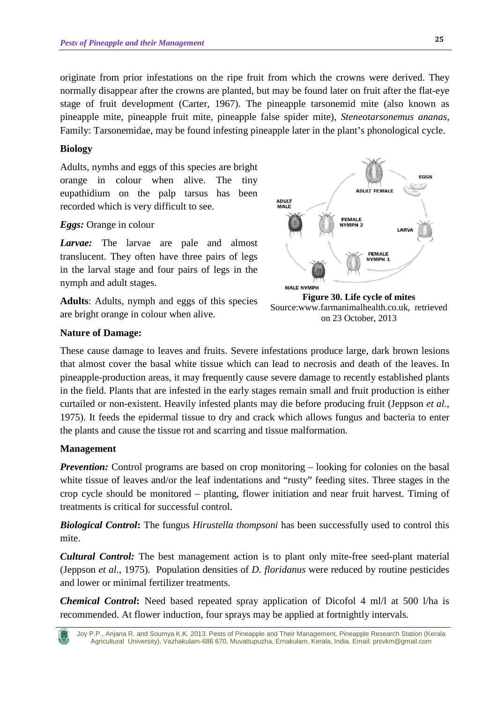originate from prior infestations on the ripe fruit from which the crowns were derived. They normally disappear after the crowns are planted, but may be found later on fruit after the flat-eye stage of fruit development (Carter, 1967). The pineapple tarsonemid mite (also known as pineapple mite, pineapple fruit mite, pineapple false spider mite), *Steneotarsonemus ananas,*  Family: Tarsonemidae, may be found infesting pineapple later in the plant's phonological cycle.

#### **Biology**

Adults, nymhs and eggs of this species are bright orange in colour when alive. The tiny eupathidium on the palp tarsus has been recorded which is very difficult to see.

#### *Eggs:* Orange in colour

*Larvae:* The larvae are pale and almost translucent. They often have three pairs of legs in the larval stage and four pairs of legs in the nymph and adult stages.

**Adults**: Adults, nymph and eggs of this species are bright orange in colour when alive.



Source:www.farmanimalhealth.co.uk, retrieved on 23 October, 2013

#### **Nature of Damage:**

These cause damage to leaves and fruits. Severe infestations produce large, dark brown lesions that almost cover the basal white tissue which can lead to necrosis and death of the leaves. In pineapple-production areas, it may frequently cause severe damage to recently established plants in the field. Plants that are infested in the early stages remain small and fruit production is either curtailed or non-existent. Heavily infested plants may die before producing fruit (Jeppson *et al.*, 1975). It feeds the epidermal tissue to dry and crack which allows fungus and bacteria to enter the plants and cause the tissue rot and scarring and tissue malformation.

#### **Management**

*Prevention:* Control programs are based on crop monitoring – looking for colonies on the basal white tissue of leaves and/or the leaf indentations and "rusty" feeding sites. Three stages in the crop cycle should be monitored – planting, flower initiation and near fruit harvest. Timing of treatments is critical for successful control.

*Biological Control***:** The fungus *Hirustella thompsoni* has been successfully used to control this mite.

*Cultural Control:* The best management action is to plant only mite-free seed-plant material (Jeppson *et al.*, 1975). Population densities of *D. floridanus* were reduced by routine pesticides and lower or minimal fertilizer treatments.

*Chemical Control***:** Need based repeated spray application of Dicofol 4 ml/l at 500 l/ha is recommended. At flower induction, four sprays may be applied at fortnightly intervals.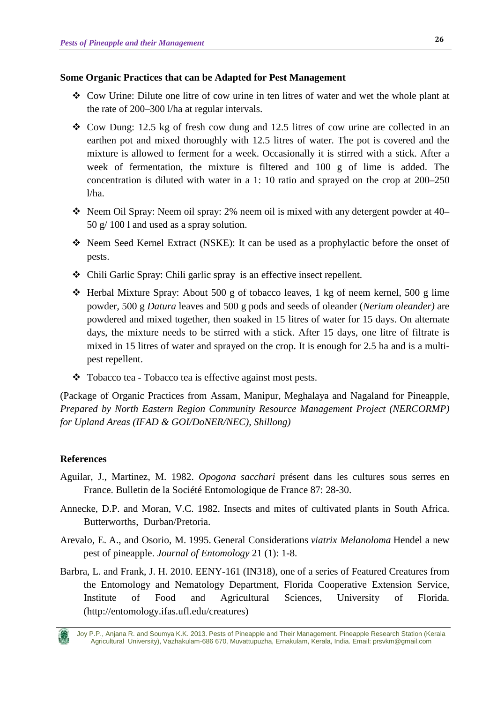#### **Some Organic Practices that can be Adapted for Pest Management**

- Cow Urine: Dilute one litre of cow urine in ten litres of water and wet the whole plant at the rate of 200–300 l/ha at regular intervals.
- $\div$  Cow Dung: 12.5 kg of fresh cow dung and 12.5 litres of cow urine are collected in an earthen pot and mixed thoroughly with 12.5 litres of water. The pot is covered and the mixture is allowed to ferment for a week. Occasionally it is stirred with a stick. After a week of fermentation, the mixture is filtered and 100 g of lime is added. The concentration is diluted with water in a 1: 10 ratio and sprayed on the crop at 200–250 l/ha.
- Neem Oil Spray: Neem oil spray: 2% neem oil is mixed with any detergent powder at  $40-$ 50 g/ 100 l and used as a spray solution.
- Neem Seed Kernel Extract (NSKE): It can be used as a prophylactic before the onset of pests.
- Chili Garlic Spray: Chili garlic spray is an effective insect repellent.
- $\div$  Herbal Mixture Spray: About 500 g of tobacco leaves, 1 kg of neem kernel, 500 g lime powder, 500 g *Datura* leaves and 500 g pods and seeds of oleander (*Nerium oleander)* are powdered and mixed together, then soaked in 15 litres of water for 15 days. On alternate days, the mixture needs to be stirred with a stick. After 15 days, one litre of filtrate is mixed in 15 litres of water and sprayed on the crop. It is enough for 2.5 ha and is a multipest repellent.
- Tobacco tea Tobacco tea is effective against most pests.

(Package of Organic Practices from Assam, Manipur, Meghalaya and Nagaland for Pineapple, *Prepared by North Eastern Region Community Resource Management Project (NERCORMP) for Upland Areas (IFAD & GOI/DoNER/NEC), Shillong)* 

### **References**

- Aguilar, J., Martinez, M. 1982. *Opogona sacchari* présent dans les cultures sous serres en France. Bulletin de la Société Entomologique de France 87: 28-30.
- Annecke, D.P. and Moran, V.C. 1982. Insects and mites of cultivated plants in South Africa. Butterworths, Durban/Pretoria.
- Arevalo, E. A., and Osorio, M. 1995. General Considerations *viatrix Melanoloma* Hendel a new pest of pineapple. *Journal of Entomology* 21 (1): 1-8.
- Barbra, L. and Frank, J. H. 2010. EENY-161 (IN318), one of a series of Featured Creatures from the Entomology and Nematology Department, Florida Cooperative Extension Service, Institute of Food and Agricultural Sciences, University of Florida. (http://entomology.ifas.ufl.edu/creatures)

Joy P.P., Anjana R. and Soumya K.K. 2013. Pests of Pineapple and Their Management. Pineapple Research Station (Kerala Agricultural University), Vazhakulam-686 670, Muvattupuzha, Ernakulam, Kerala, India. Email: prsvkm@gmail.com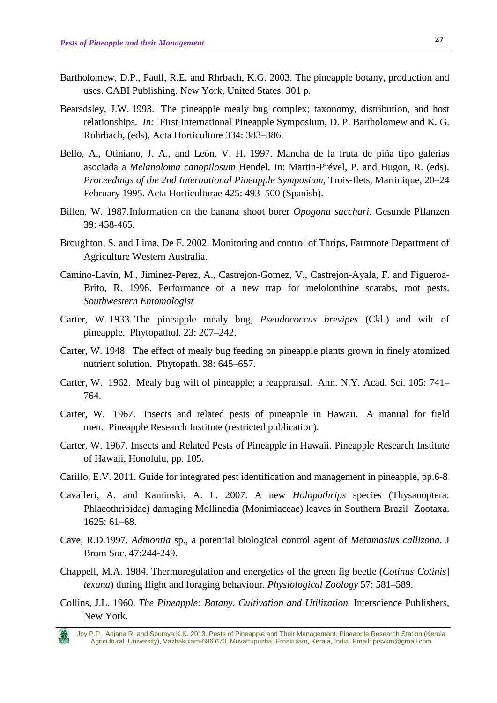- Bartholomew, D.P., Paull, R.E. and Rhrbach, K.G. 2003. The pineapple botany, production and uses. CABI Publishing. New York, United States. 301 p.
- Bearsdsley, J.W. 1993. The pineapple mealy bug complex; taxonomy, distribution, and host relationships. *In:* First International Pineapple Symposium, D. P. Bartholomew and K. G. Rohrbach, (eds), Acta Horticulture 334: 383–386.
- Bello, A., Otiniano, J. A., and León, V. H. 1997. Mancha de la fruta de piña tipo galerias asociada a *Melanoloma canopilosum* Hendel. In: Martin-Prével, P. and Hugon, R. (eds). *Proceedings of the 2nd International Pineapple Symposium,* Trois-Ilets, Martinique, 20–24 February 1995. Acta Horticulturae 425: 493–500 (Spanish).
- Billen, W. 1987.Information on the banana shoot borer *Opogona sacchari*. Gesunde Pflanzen 39: 458-465.
- Broughton, S. and Lima, De F. 2002. Monitoring and control of Thrips, Farmnote Department of Agriculture Western Australia.
- Camino-Lavín, M., Jiminez-Perez, A., Castrejon-Gomez, V., Castrejon-Ayala, F. and Figueroa-Brito, R. 1996. Performance of a new trap for melolonthine scarabs, root pests. *Southwestern Entomologist*
- Carter, W. 1933. The pineapple mealy bug, *Pseudococcus brevipes* (Ckl.) and wilt of pineapple. Phytopathol. 23: 207–242.
- Carter, W. 1948. The effect of mealy bug feeding on pineapple plants grown in finely atomized nutrient solution. Phytopath. 38: 645–657.
- Carter, W. 1962. Mealy bug wilt of pineapple; a reappraisal. Ann. N.Y. Acad. Sci. 105: 741– 764.
- Carter, W. 1967. Insects and related pests of pineapple in Hawaii. A manual for field men. Pineapple Research Institute (restricted publication).
- Carter, W. 1967. Insects and Related Pests of Pineapple in Hawaii. Pineapple Research Institute of Hawaii, Honolulu, pp. 105.
- Carillo, E.V. 2011. Guide for integrated pest identification and management in pineapple, pp.6-8
- Cavalleri, A. and Kaminski, A. L. 2007. A new *Holopothrips* species (Thysanoptera: Phlaeothripidae) damaging Mollinedia (Monimiaceae) leaves in Southern Brazil Zootaxa. 1625: 61–68.
- Cave, R.D.1997. *Admontia* sp., a potential biological control agent of *Metamasius callizona*. J Brom Soc. 47:244-249.
- Chappell, M.A. 1984. Thermoregulation and energetics of the green fig beetle (*Cotinus*[*Cotinis*] *texana*) during flight and foraging behaviour. *Physiological Zoology* 57: 581–589.
- Collins, J.L. 1960. *The Pineapple: Botany, Cultivation and Utilization.* Interscience Publishers, New York.

Joy P.P., Anjana R. and Soumya K.K. 2013. Pests of Pineapple and Their Management. Pineapple Research Station (Kerala Agricultural University), Vazhakulam-686 670, Muvattupuzha, Ernakulam, Kerala, India. Email: prsvkm@gmail.com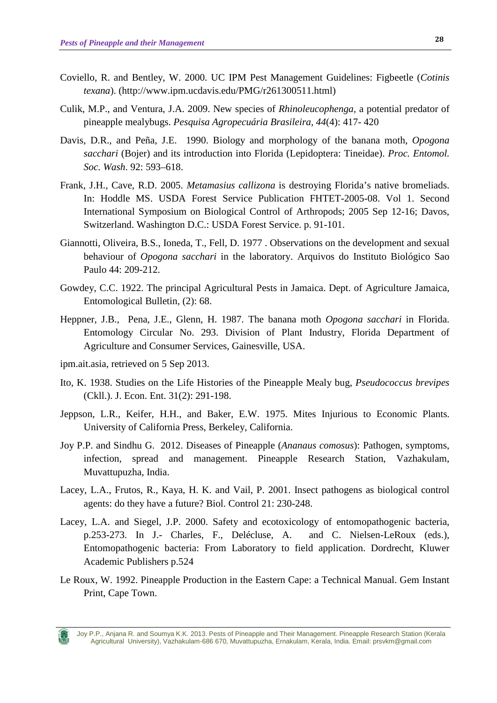- Coviello, R. and Bentley, W. 2000. UC IPM Pest Management Guidelines: Figbeetle (*Cotinis texana*). (http://www.ipm.ucdavis.edu/PMG/r261300511.html)
- Culik, M.P., and Ventura, J.A. 2009. New species of *Rhinoleucophenga,* a potential predator of pineapple mealybugs. *Pesquisa Agropecuária Brasileira*, *44*(4): 417- 420
- Davis, D.R., and Peña, J.E. 1990. Biology and morphology of the banana moth, *Opogona sacchari* (Bojer) and its introduction into Florida (Lepidoptera: Tineidae). *Proc. Entomol. Soc. Wash*. 92: 593–618.
- Frank, J.H., Cave, R.D. 2005. *Metamasius callizona* is destroying Florida's native bromeliads. In: Hoddle MS. USDA Forest Service Publication FHTET-2005-08. Vol 1. Second International Symposium on Biological Control of Arthropods; 2005 Sep 12-16; Davos, Switzerland. Washington D.C.: USDA Forest Service. p. 91-101.
- Giannotti, Oliveira, B.S., Ioneda, T., Fell, D. 1977 . Observations on the development and sexual behaviour of *Opogona sacchari* in the laboratory. Arquivos do Instituto Biológico Sao Paulo 44: 209-212.
- Gowdey, C.C. 1922. The principal Agricultural Pests in Jamaica. Dept. of Agriculture Jamaica, Entomological Bulletin, (2): 68.
- Heppner, J.B., Pena, J.E., Glenn, H. 1987. The banana moth *Opogona sacchari* in Florida. Entomology Circular No. 293. Division of Plant Industry, Florida Department of Agriculture and Consumer Services, Gainesville, USA.
- ipm.ait.asia, retrieved on 5 Sep 2013.
- Ito, K. 1938. Studies on the Life Histories of the Pineapple Mealy bug, *Pseudococcus brevipes* (Ckll.). J. Econ. Ent. 31(2): 291-198.
- Jeppson, L.R., Keifer, H.H., and Baker, E.W. 1975. Mites Injurious to Economic Plants. University of California Press, Berkeley, California.
- Joy P.P. and Sindhu G. 2012. Diseases of Pineapple (*Ananaus comosus*): Pathogen, symptoms, infection, spread and management. Pineapple Research Station, Vazhakulam, Muvattupuzha, India.
- Lacey, L.A., Frutos, R., Kaya, H. K. and Vail, P. 2001. Insect pathogens as biological control agents: do they have a future? Biol. Control 21: 230-248.
- Lacey, L.A. and Siegel, J.P. 2000. Safety and ecotoxicology of entomopathogenic bacteria, p.253-273. In J.- Charles, F., Delécluse, A. and C. Nielsen-LeRoux (eds.), Entomopathogenic bacteria: From Laboratory to field application. Dordrecht, Kluwer Academic Publishers p.524
- Le Roux, W. 1992. Pineapple Production in the Eastern Cape: a Technical Manual. Gem Instant Print, Cape Town.

Joy P.P., Anjana R. and Soumya K.K. 2013. Pests of Pineapple and Their Management. Pineapple Research Station (Kerala Agricultural University), Vazhakulam-686 670, Muvattupuzha, Ernakulam, Kerala, India. Email: prsvkm@gmail.com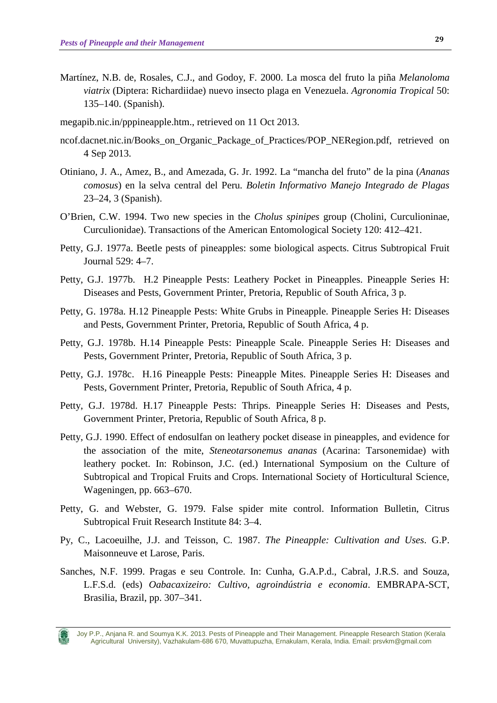- Martínez, N.B. de, Rosales, C.J., and Godoy, F. 2000. La mosca del fruto la piña *Melanoloma viatrix* (Diptera: Richardiidae) nuevo insecto plaga en Venezuela. *Agronomia Tropical* 50: 135–140. (Spanish).
- megapib.nic.in/pppineapple.htm., retrieved on 11 Oct 2013.
- [ncof.dacnet.nic.in/Books\\_on\\_Organic\\_Package\\_of\\_Practices/POP\\_NERegion.pdf,](http://ncof.dacnet.nic.in/Books_on_Organic_Package_of_Practices/POP_NERegion.pdf) retrieved on 4 Sep 2013.
- Otiniano, J. A., Amez, B., and Amezada, G. Jr. 1992. La "mancha del fruto" de la pina (*Ananas comosus*) en la selva central del Peru. *Boletin Informativo Manejo Integrado de Plagas*  23–24, 3 (Spanish).
- O'Brien, C.W. 1994. Two new species in the *Cholus spinipes* group (Cholini, Curculioninae, Curculionidae). Transactions of the American Entomological Society 120: 412–421.
- Petty, G.J. 1977a. Beetle pests of pineapples: some biological aspects. Citrus Subtropical Fruit Journal 529: 4–7.
- Petty, G.J. 1977b. H.2 Pineapple Pests: Leathery Pocket in Pineapples. Pineapple Series H: Diseases and Pests, Government Printer, Pretoria, Republic of South Africa, 3 p.
- Petty, G. 1978a. H.12 Pineapple Pests: White Grubs in Pineapple. Pineapple Series H: Diseases and Pests, Government Printer, Pretoria, Republic of South Africa, 4 p.
- Petty, G.J. 1978b. H.14 Pineapple Pests: Pineapple Scale. Pineapple Series H: Diseases and Pests, Government Printer, Pretoria, Republic of South Africa, 3 p.
- Petty, G.J. 1978c. H.16 Pineapple Pests: Pineapple Mites. Pineapple Series H: Diseases and Pests, Government Printer, Pretoria, Republic of South Africa, 4 p.
- Petty, G.J. 1978d. H.17 Pineapple Pests: Thrips. Pineapple Series H: Diseases and Pests, Government Printer, Pretoria, Republic of South Africa, 8 p.
- Petty, G.J. 1990. Effect of endosulfan on leathery pocket disease in pineapples, and evidence for the association of the mite, *Steneotarsonemus ananas* (Acarina: Tarsonemidae) with leathery pocket. In: Robinson, J.C. (ed.) International Symposium on the Culture of Subtropical and Tropical Fruits and Crops. International Society of Horticultural Science, Wageningen, pp. 663–670.
- Petty, G. and Webster, G. 1979. False spider mite control. Information Bulletin, Citrus Subtropical Fruit Research Institute 84: 3–4.
- Py, C., Lacoeuilhe, J.J. and Teisson, C. 1987. *The Pineapple: Cultivation and Uses*. G.P. Maisonneuve et Larose, Paris.
- Sanches, N.F. 1999. Pragas e seu Controle. In: Cunha, G.A.P.d., Cabral, J.R.S. and Souza, L.F.S.d. (eds) *Oabacaxizeiro: Cultivo, agroindústria e economia*. EMBRAPA-SCT, Brasilia, Brazil, pp. 307–341.

Joy P.P., Anjana R. and Soumya K.K. 2013. Pests of Pineapple and Their Management. Pineapple Research Station (Kerala Agricultural University), Vazhakulam-686 670, Muvattupuzha, Ernakulam, Kerala, India. Email: prsvkm@gmail.com